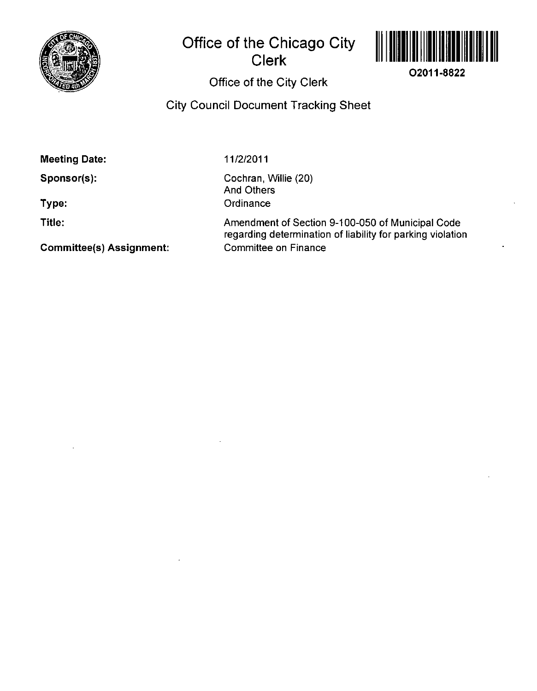

## **Office of the Chicago City Clerk**



**02011-8822** 

## Office of the City Clerk

## City Council Document Tracking Sheet

Meeting Date:

Sponsor(s):

Type:

Title:

11/2/2011

Cochran, Willie (20) And Others **Ordinance** 

Amendment of Section 9-100-050 of Municipal Code regarding determination of liability for parking violation Committee on Finance

Commlttee(s) Assignment: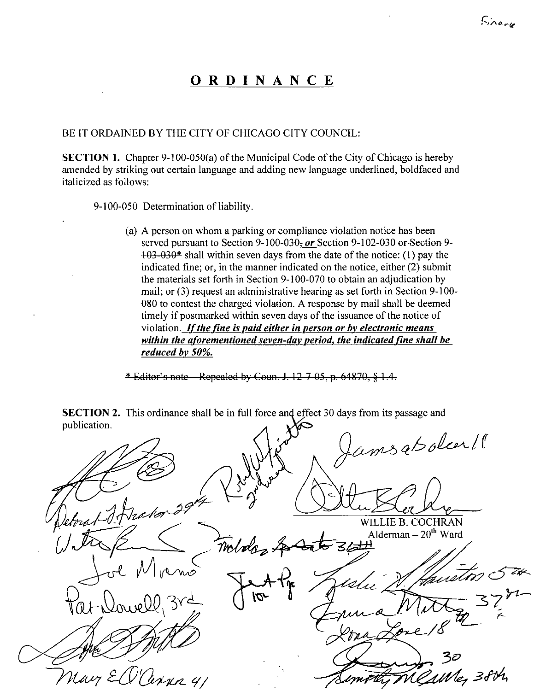## **ORDINANC E**

BE IT ORDAINED BY THE CITY OF CHICAGO CITY COUNCIL:

**SECTION 1.** Chapter 9-100-050(a) of the Municipal Code of the City of Chicago is hereby amended by striking out certain language and adding new language underlined, boldfaced and italicized as follows:

9-100-050 Determination of liability.

*(a) A person on whom a parking or compliance violation notice has been*  served pursuant to Section 9-100-030<sub>z</sub> or Section 9-102-030 or Section-9-*103 030\* shall within seven days from the date of the notice: (1) pay the indicated fine; or, in the manner indicated on the notice, either (2) submit the materials set forth in Section 9-100-070 to obtain an adjudication by mail; or (3) request an administrative hearing as set forth in Section 9-100- 080 to contest the charged violation. A response by mail shall be deemed timely if postmarked within seven days of the issuance of the notice of violation. If the fine is paid either in person or by electronic means within the aforementioned seven-day period^ the indicated fine shall be reduced bv 50%.* 

 $*$  Editor's note - Repealed by Coun. J. 12-7-05, p. 64870,  $§$  1.4.

amsabolcer !! WILLIE B. COCHRAN Alderman –  $20^{\text{th}}$  Ward middas awell, Whe 38th

SECTION 2. This ordinance shall be in full force and effect 30 days from its passage and publication.